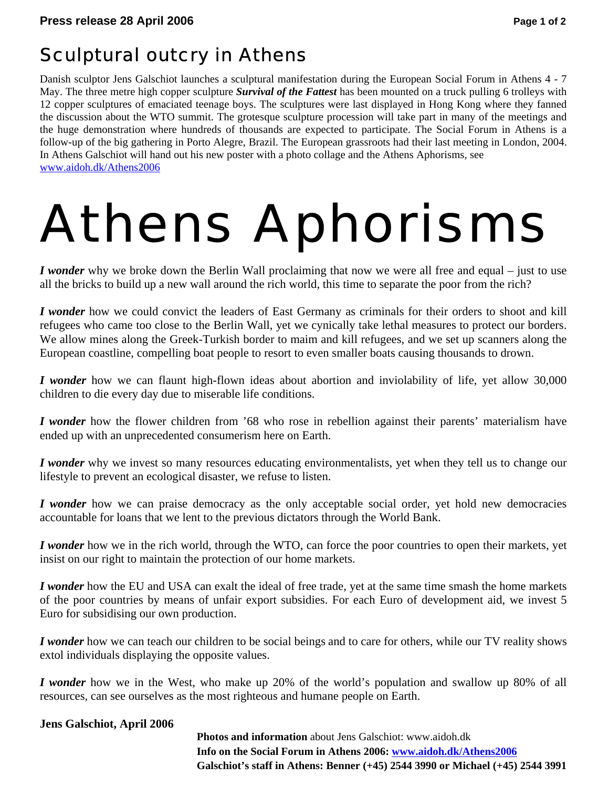## Sculptural outcry in Athens

Danish sculptor Jens Galschiot launches a sculptural manifestation during the European Social Forum in Athens 4 - 7 May. The three metre high copper sculpture *Survival of the Fattest* has been mounted on a truck pulling 6 trolleys with 12 copper sculptures of emaciated teenage boys. The sculptures were last displayed in Hong Kong where they fanned the discussion about the WTO summit. The grotesque sculpture procession will take part in many of the meetings and the huge demonstration where hundreds of thousands are expected to participate. The Social Forum in Athens is a follow-up of the big gathering in Porto Alegre, Brazil. The European grassroots had their last meeting in London, 2004. In Athens Galschiot will hand out his new poster with a photo collage and the Athens Aphorisms, see www.aidoh.dk/Athens2006

# Athens Aphorisms

*I wonder* why we broke down the Berlin Wall proclaiming that now we were all free and equal – just to use all the bricks to build up a new wall around the rich world, this time to separate the poor from the rich?

*I wonder* how we could convict the leaders of East Germany as criminals for their orders to shoot and kill refugees who came too close to the Berlin Wall, yet we cynically take lethal measures to protect our borders. We allow mines along the Greek-Turkish border to maim and kill refugees, and we set up scanners along the European coastline, compelling boat people to resort to even smaller boats causing thousands to drown.

*I wonder* how we can flaunt high-flown ideas about abortion and inviolability of life, yet allow 30,000 children to die every day due to miserable life conditions.

*I wonder* how the flower children from '68 who rose in rebellion against their parents' materialism have ended up with an unprecedented consumerism here on Earth.

*I wonder* why we invest so many resources educating environmentalists, yet when they tell us to change our lifestyle to prevent an ecological disaster, we refuse to listen.

*I wonder* how we can praise democracy as the only acceptable social order, yet hold new democracies accountable for loans that we lent to the previous dictators through the World Bank.

*I wonder* how we in the rich world, through the WTO, can force the poor countries to open their markets, yet insist on our right to maintain the protection of our home markets.

*I wonder* how the EU and USA can exalt the ideal of free trade, yet at the same time smash the home markets of the poor countries by means of unfair export subsidies. For each Euro of development aid, we invest 5 Euro for subsidising our own production.

*I wonder* how we can teach our children to be social beings and to care for others, while our TV reality shows extol individuals displaying the opposite values.

*I wonder* how we in the West, who make up 20% of the world's population and swallow up 80% of all resources, can see ourselves as the most righteous and humane people on Earth.

#### **Jens Galschiot, April 2006**

 **Photos and information** about Jens Galschiot: www.aidoh.dk  **Info on the Social Forum in Athens 2006: www.aidoh.dk/Athens2006 Galschiot's staff in Athens: Benner (+45) 2544 3990 or Michael (+45) 2544 3991**